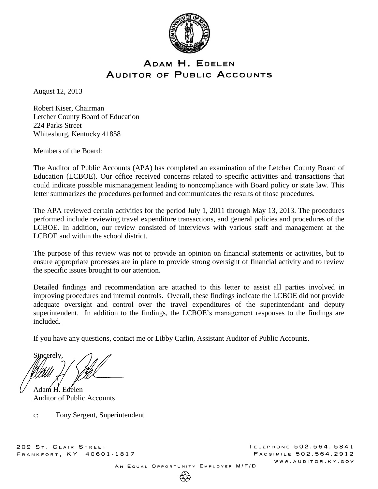

# ADAM H. EDELEN AUDITOR OF PUBLIC ACCOUNTS

August 12, 2013

Robert Kiser, Chairman Letcher County Board of Education 224 Parks Street Whitesburg, Kentucky 41858

Members of the Board:

The Auditor of Public Accounts (APA) has completed an examination of the Letcher County Board of Education (LCBOE). Our office received concerns related to specific activities and transactions that could indicate possible mismanagement leading to noncompliance with Board policy or state law. This letter summarizes the procedures performed and communicates the results of those procedures.

The APA reviewed certain activities for the period July 1, 2011 through May 13, 2013. The procedures performed include reviewing travel expenditure transactions, and general policies and procedures of the LCBOE. In addition, our review consisted of interviews with various staff and management at the LCBOE and within the school district.

The purpose of this review was not to provide an opinion on financial statements or activities, but to ensure appropriate processes are in place to provide strong oversight of financial activity and to review the specific issues brought to our attention.

Detailed findings and recommendation are attached to this letter to assist all parties involved in improving procedures and internal controls. Overall, these findings indicate the LCBOE did not provide adequate oversight and control over the travel expenditures of the superintendant and deputy superintendent. In addition to the findings, the LCBOE's management responses to the findings are included.

If you have any questions, contact me or Libby Carlin, Assistant Auditor of Public Accounts.

Sincerely, Adam H. Edelen

Auditor of Public Accounts

c: Tony Sergent, Superintendent

209 ST. CLAIR STREET FRANKFORT, KY 40601-1817 TELEPHONE 502.564.5841 FACSIMILE 502.564.2912 WWW.AUDITOR.KY.GOV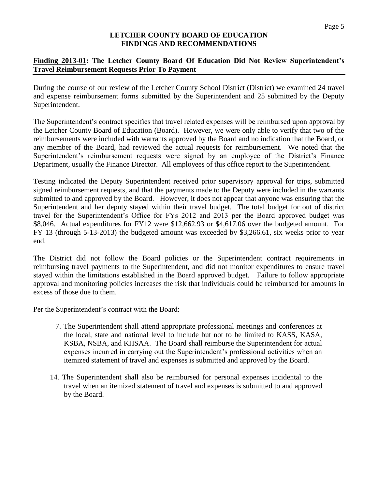# **Finding 2013-01: The Letcher County Board Of Education Did Not Review Superintendent's Travel Reimbursement Requests Prior To Payment**

During the course of our review of the Letcher County School District (District) we examined 24 travel and expense reimbursement forms submitted by the Superintendent and 25 submitted by the Deputy Superintendent.

The Superintendent's contract specifies that travel related expenses will be reimbursed upon approval by the Letcher County Board of Education (Board). However, we were only able to verify that two of the reimbursements were included with warrants approved by the Board and no indication that the Board, or any member of the Board, had reviewed the actual requests for reimbursement. We noted that the Superintendent's reimbursement requests were signed by an employee of the District's Finance Department, usually the Finance Director. All employees of this office report to the Superintendent.

Testing indicated the Deputy Superintendent received prior supervisory approval for trips, submitted signed reimbursement requests, and that the payments made to the Deputy were included in the warrants submitted to and approved by the Board. However, it does not appear that anyone was ensuring that the Superintendent and her deputy stayed within their travel budget. The total budget for out of district travel for the Superintendent's Office for FYs 2012 and 2013 per the Board approved budget was \$8,046. Actual expenditures for FY12 were \$12,662.93 or \$4,617.06 over the budgeted amount. For FY 13 (through 5-13-2013) the budgeted amount was exceeded by \$3,266.61, six weeks prior to year end.

The District did not follow the Board policies or the Superintendent contract requirements in reimbursing travel payments to the Superintendent, and did not monitor expenditures to ensure travel stayed within the limitations established in the Board approved budget. Failure to follow appropriate approval and monitoring policies increases the risk that individuals could be reimbursed for amounts in excess of those due to them.

Per the Superintendent's contract with the Board:

- 7. The Superintendent shall attend appropriate professional meetings and conferences at the local, state and national level to include but not to be limited to KASS, KASA, KSBA, NSBA, and KHSAA. The Board shall reimburse the Superintendent for actual expenses incurred in carrying out the Superintendent's professional activities when an itemized statement of travel and expenses is submitted and approved by the Board.
- 14. The Superintendent shall also be reimbursed for personal expenses incidental to the travel when an itemized statement of travel and expenses is submitted to and approved by the Board.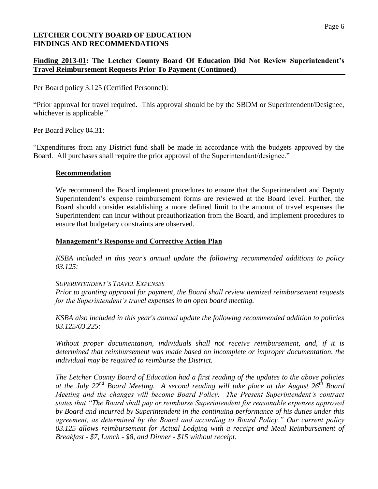#### Page 6

## **LETCHER COUNTY BOARD OF EDUCATION FINDINGS AND RECOMMENDATIONS**

# **Finding 2013-01: The Letcher County Board Of Education Did Not Review Superintendent's Travel Reimbursement Requests Prior To Payment (Continued)**

Per Board policy 3.125 (Certified Personnel):

"Prior approval for travel required. This approval should be by the SBDM or Superintendent/Designee, whichever is applicable."

Per Board Policy 04.31:

"Expenditures from any District fund shall be made in accordance with the budgets approved by the Board. All purchases shall require the prior approval of the Superintendant/designee."

#### **Recommendation**

We recommend the Board implement procedures to ensure that the Superintendent and Deputy Superintendent's expense reimbursement forms are reviewed at the Board level. Further, the Board should consider establishing a more defined limit to the amount of travel expenses the Superintendent can incur without preauthorization from the Board, and implement procedures to ensure that budgetary constraints are observed.

### **Management's Response and Corrective Action Plan**

*KSBA included in this year's annual update the following recommended additions to policy 03.125:*

#### *SUPERINTENDENT'S TRAVEL EXPENSES*

*Prior to granting approval for payment, the Board shall review itemized reimbursement requests for the Superintendent's travel expenses in an open board meeting.*

*KSBA also included in this year's annual update the following recommended addition to policies 03.125/03.225:*

*Without proper documentation, individuals shall not receive reimbursement, and, if it is determined that reimbursement was made based on incomplete or improper documentation, the individual may be required to reimburse the District.*

*The Letcher County Board of Education had a first reading of the updates to the above policies at the July 22nd Board Meeting. A second reading will take place at the August 26th Board Meeting and the changes will become Board Policy. The Present Superintendent's contract states that "The Board shall pay or reimburse Superintendent for reasonable expenses approved by Board and incurred by Superintendent in the continuing performance of his duties under this agreement, as determined by the Board and according to Board Policy." Our current policy 03.125 allows reimbursement for Actual Lodging with a receipt and Meal Reimbursement of Breakfast - \$7, Lunch - \$8, and Dinner - \$15 without receipt.*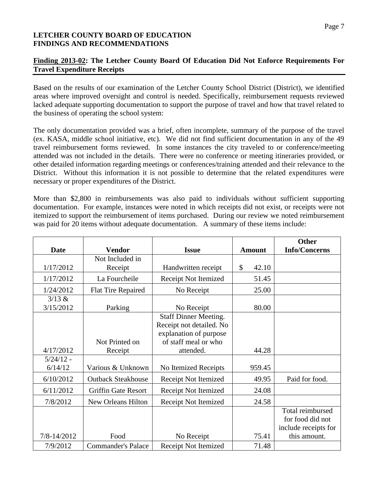### **Finding 2013-02: The Letcher County Board Of Education Did Not Enforce Requirements For Travel Expenditure Receipts**

Based on the results of our examination of the Letcher County School District (District), we identified areas where improved oversight and control is needed. Specifically, reimbursement requests reviewed lacked adequate supporting documentation to support the purpose of travel and how that travel related to the business of operating the school system:

The only documentation provided was a brief, often incomplete, summary of the purpose of the travel (ex. KASA, middle school initiative, etc). We did not find sufficient documentation in any of the 49 travel reimbursement forms reviewed. In some instances the city traveled to or conference/meeting attended was not included in the details. There were no conference or meeting itineraries provided, or other detailed information regarding meetings or conferences/training attended and their relevance to the District. Without this information it is not possible to determine that the related expenditures were necessary or proper expenditures of the District.

More than \$2,800 in reimbursements was also paid to individuals without sufficient supporting documentation. For example, instances were noted in which receipts did not exist, or receipts were not itemized to support the reimbursement of items purchased. During our review we noted reimbursement was paid for 20 items without adequate documentation. A summary of these items include:

|             |                            |                              |             | <b>Other</b>         |
|-------------|----------------------------|------------------------------|-------------|----------------------|
| <b>Date</b> | <b>Vendor</b>              | <b>Issue</b>                 | Amount      | <b>Info/Concerns</b> |
|             | Not Included in            |                              |             |                      |
| 1/17/2012   | Receipt                    | Handwritten receipt          | \$<br>42.10 |                      |
| 1/17/2012   | La Fourcheile              | Receipt Not Itemized         | 51.45       |                      |
| 1/24/2012   | <b>Flat Tire Repaired</b>  | No Receipt                   | 25.00       |                      |
| 3/13 &      |                            |                              |             |                      |
| 3/15/2012   | Parking                    | No Receipt                   | 80.00       |                      |
|             |                            | <b>Staff Dinner Meeting.</b> |             |                      |
|             |                            | Receipt not detailed. No     |             |                      |
|             |                            | explanation of purpose       |             |                      |
|             | Not Printed on             | of staff meal or who         |             |                      |
| 4/17/2012   | Receipt                    | attended.                    | 44.28       |                      |
| $5/24/12 -$ |                            |                              |             |                      |
| 6/14/12     | Various & Unknown          | No Itemized Receipts         | 959.45      |                      |
| 6/10/2012   | <b>Outback Steakhouse</b>  | Receipt Not Itemized         | 49.95       | Paid for food.       |
| 6/11/2012   | <b>Griffin Gate Resort</b> | Receipt Not Itemized         | 24.08       |                      |
| 7/8/2012    | New Orleans Hilton         | <b>Receipt Not Itemized</b>  | 24.58       |                      |
|             |                            |                              |             | Total reimbursed     |
|             |                            |                              |             | for food did not     |
|             |                            |                              |             | include receipts for |
| 7/8-14/2012 | Food                       | No Receipt                   | 75.41       | this amount.         |
| 7/9/2012    | <b>Commander's Palace</b>  | <b>Receipt Not Itemized</b>  | 71.48       |                      |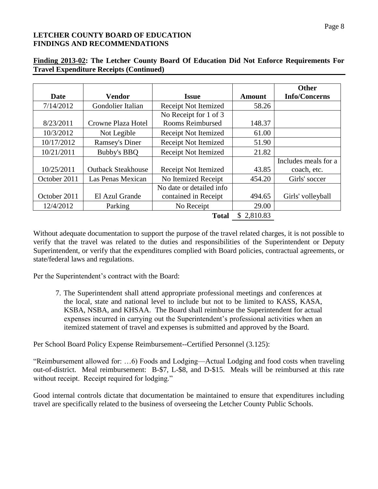|              |                           |                             |               | <b>Other</b>         |
|--------------|---------------------------|-----------------------------|---------------|----------------------|
| Date         | <b>Vendor</b>             | <b>Issue</b>                | <b>Amount</b> | <b>Info/Concerns</b> |
| 7/14/2012    | Gondolier Italian         | <b>Receipt Not Itemized</b> | 58.26         |                      |
|              |                           | No Receipt for 1 of 3       |               |                      |
| 8/23/2011    | Crowne Plaza Hotel        | Rooms Reimbursed            | 148.37        |                      |
| 10/3/2012    | Not Legible               | Receipt Not Itemized        | 61.00         |                      |
| 10/17/2012   | <b>Ramsey's Diner</b>     | Receipt Not Itemized        | 51.90         |                      |
| 10/21/2011   | Bubby's BBQ               | <b>Receipt Not Itemized</b> | 21.82         |                      |
|              |                           |                             |               | Includes meals for a |
| 10/25/2011   | <b>Outback Steakhouse</b> | Receipt Not Itemized        | 43.85         | coach, etc.          |
| October 2011 | Las Penas Mexican         | No Itemized Receipt         | 454.20        | Girls' soccer        |
|              |                           | No date or detailed info    |               |                      |
| October 2011 | El Azul Grande            | contained in Receipt        | 494.65        | Girls' volleyball    |
| 12/4/2012    | Parking                   | No Receipt                  | 29.00         |                      |
|              |                           | <b>Total</b>                | \$2,810.83    |                      |

# **Finding 2013-02: The Letcher County Board Of Education Did Not Enforce Requirements For Travel Expenditure Receipts (Continued)**

Without adequate documentation to support the purpose of the travel related charges, it is not possible to verify that the travel was related to the duties and responsibilities of the Superintendent or Deputy Superintendent, or verify that the expenditures complied with Board policies, contractual agreements, or state/federal laws and regulations.

Per the Superintendent's contract with the Board:

7. The Superintendent shall attend appropriate professional meetings and conferences at the local, state and national level to include but not to be limited to KASS, KASA, KSBA, NSBA, and KHSAA. The Board shall reimburse the Superintendent for actual expenses incurred in carrying out the Superintendent's professional activities when an itemized statement of travel and expenses is submitted and approved by the Board.

Per School Board Policy Expense Reimbursement--Certified Personnel (3.125):

"Reimbursement allowed for: …6) Foods and Lodging—Actual Lodging and food costs when traveling out-of-district. Meal reimbursement: B-\$7, L-\$8, and D-\$15. Meals will be reimbursed at this rate without receipt. Receipt required for lodging."

Good internal controls dictate that documentation be maintained to ensure that expenditures including travel are specifically related to the business of overseeing the Letcher County Public Schools.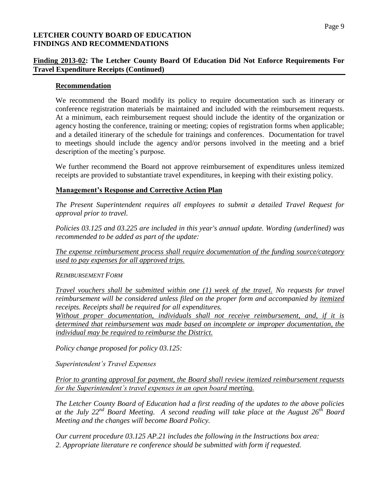# **Finding 2013-02: The Letcher County Board Of Education Did Not Enforce Requirements For Travel Expenditure Receipts (Continued)**

#### **Recommendation**

We recommend the Board modify its policy to require documentation such as itinerary or conference registration materials be maintained and included with the reimbursement requests. At a minimum, each reimbursement request should include the identity of the organization or agency hosting the conference, training or meeting; copies of registration forms when applicable; and a detailed itinerary of the schedule for trainings and conferences. Documentation for travel to meetings should include the agency and/or persons involved in the meeting and a brief description of the meeting's purpose.

We further recommend the Board not approve reimbursement of expenditures unless itemized receipts are provided to substantiate travel expenditures, in keeping with their existing policy.

# **Management's Response and Corrective Action Plan**

*The Present Superintendent requires all employees to submit a detailed Travel Request for approval prior to travel.*

*Policies 03.125 and 03.225 are included in this year's annual update. Wording (underlined) was recommended to be added as part of the update:*

*The expense reimbursement process shall require documentation of the funding source/category used to pay expenses for all approved trips.*

#### *REIMBURSEMENT FORM*

*Travel vouchers shall be submitted within one (1) week of the travel. No requests for travel reimbursement will be considered unless filed on the proper form and accompanied by itemized receipts. Receipts shall be required for all expenditures.*

*Without proper documentation, individuals shall not receive reimbursement, and, if it is determined that reimbursement was made based on incomplete or improper documentation, the individual may be required to reimburse the District.*

*Policy change proposed for policy 03.125:*

*Superintendent's Travel Expenses*

*Prior to granting approval for payment, the Board shall review itemized reimbursement requests for the Superintendent's travel expenses in an open board meeting.*

*The Letcher County Board of Education had a first reading of the updates to the above policies at the July 22nd Board Meeting. A second reading will take place at the August 26th Board Meeting and the changes will become Board Policy.* 

*Our current procedure 03.125 AP.21 includes the following in the Instructions box area: 2. Appropriate literature re conference should be submitted with form if requested.*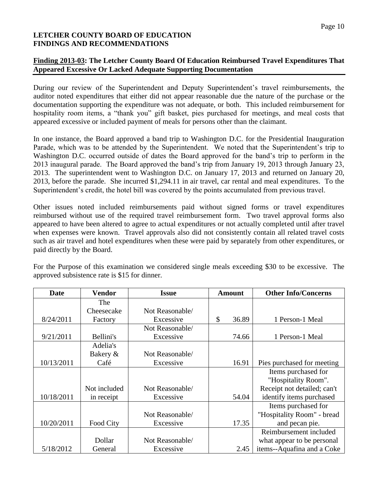### **Finding 2013-03: The Letcher County Board Of Education Reimbursed Travel Expenditures That Appeared Excessive Or Lacked Adequate Supporting Documentation**

During our review of the Superintendent and Deputy Superintendent's travel reimbursements, the auditor noted expenditures that either did not appear reasonable due the nature of the purchase or the documentation supporting the expenditure was not adequate, or both. This included reimbursement for hospitality room items, a "thank you" gift basket, pies purchased for meetings, and meal costs that appeared excessive or included payment of meals for persons other than the claimant.

In one instance, the Board approved a band trip to Washington D.C. for the Presidential Inauguration Parade, which was to be attended by the Superintendent. We noted that the Superintendent's trip to Washington D.C. occurred outside of dates the Board approved for the band's trip to perform in the 2013 inaugural parade. The Board approved the band's trip from January 19, 2013 through January 23, 2013. The superintendent went to Washington D.C. on January 17, 2013 and returned on January 20, 2013, before the parade. She incurred \$1,294.11 in air travel, car rental and meal expenditures. To the Superintendent's credit, the hotel bill was covered by the points accumulated from previous travel.

Other issues noted included reimbursements paid without signed forms or travel expenditures reimbursed without use of the required travel reimbursement form. Two travel approval forms also appeared to have been altered to agree to actual expenditures or not actually completed until after travel when expenses were known. Travel approvals also did not consistently contain all related travel costs such as air travel and hotel expenditures when these were paid by separately from other expenditures, or paid directly by the Board.

For the Purpose of this examination we considered single meals exceeding \$30 to be excessive. The approved subsistence rate is \$15 for dinner.

| <b>Date</b> | Vendor       | <b>Issue</b>    | <b>Amount</b> | <b>Other Info/Concerns</b>  |
|-------------|--------------|-----------------|---------------|-----------------------------|
|             | The          |                 |               |                             |
|             | Cheesecake   | Not Reasonable/ |               |                             |
| 8/24/2011   | Factory      | Excessive       | \$<br>36.89   | 1 Person-1 Meal             |
|             |              | Not Reasonable/ |               |                             |
| 9/21/2011   | Bellini's    | Excessive       | 74.66         | 1 Person-1 Meal             |
|             | Adelia's     |                 |               |                             |
|             | Bakery &     | Not Reasonable/ |               |                             |
| 10/13/2011  | Café         | Excessive       | 16.91         | Pies purchased for meeting  |
|             |              |                 |               | Items purchased for         |
|             |              |                 |               | "Hospitality Room".         |
|             | Not included | Not Reasonable/ |               | Receipt not detailed; can't |
| 10/18/2011  | in receipt   | Excessive       | 54.04         | identify items purchased    |
|             |              |                 |               | Items purchased for         |
|             |              | Not Reasonable/ |               | "Hospitality Room" - bread  |
| 10/20/2011  | Food City    | Excessive       | 17.35         | and pecan pie.              |
|             |              |                 |               | Reimbursement included      |
|             | Dollar       | Not Reasonable/ |               | what appear to be personal  |
| 5/18/2012   | General      | Excessive       | 2.45          | items--Aquafina and a Coke  |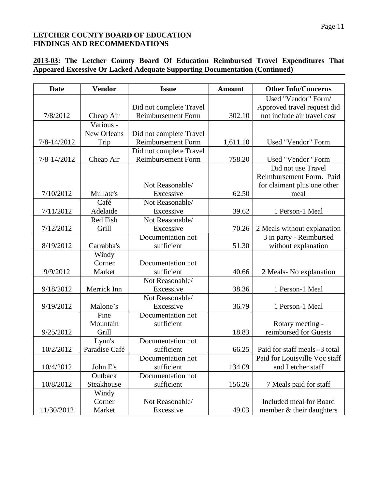# **2013-03: The Letcher County Board Of Education Reimbursed Travel Expenditures That Appeared Excessive Or Lacked Adequate Supporting Documentation (Continued)**

| <b>Date</b> | <b>Vendor</b>   | <b>Issue</b>              | <b>Amount</b> | <b>Other Info/Concerns</b>    |
|-------------|-----------------|---------------------------|---------------|-------------------------------|
|             |                 |                           |               | Used "Vendor" Form/           |
|             |                 | Did not complete Travel   |               | Approved travel request did   |
| 7/8/2012    | Cheap Air       | <b>Reimbursement Form</b> | 302.10        | not include air travel cost   |
|             | Various -       |                           |               |                               |
|             | New Orleans     | Did not complete Travel   |               |                               |
| 7/8-14/2012 | Trip            | <b>Reimbursement Form</b> | 1,611.10      | Used "Vendor" Form            |
|             |                 | Did not complete Travel   |               |                               |
| 7/8-14/2012 | Cheap Air       | <b>Reimbursement Form</b> | 758.20        | Used "Vendor" Form            |
|             |                 |                           |               | Did not use Travel            |
|             |                 |                           |               | Reimbursement Form. Paid      |
|             |                 | Not Reasonable/           |               | for claimant plus one other   |
| 7/10/2012   | Mullate's       | Excessive                 | 62.50         | meal                          |
|             | Café            | Not Reasonable/           |               |                               |
| 7/11/2012   | Adelaide        | Excessive                 | 39.62         | 1 Person-1 Meal               |
|             | <b>Red Fish</b> | Not Reasonable/           |               |                               |
| 7/12/2012   | Grill           | Excessive                 | 70.26         | 2 Meals without explanation   |
|             |                 | Documentation not         |               | 3 in party - Reimbursed       |
| 8/19/2012   | Carrabba's      | sufficient                | 51.30         | without explanation           |
|             | Windy           |                           |               |                               |
|             | Corner          | Documentation not         |               |                               |
| 9/9/2012    | Market          | sufficient                | 40.66         | 2 Meals-No explanation        |
|             |                 | Not Reasonable/           |               |                               |
| 9/18/2012   | Merrick Inn     | Excessive                 | 38.36         | 1 Person-1 Meal               |
|             |                 | Not Reasonable/           |               |                               |
| 9/19/2012   | Malone's        | Excessive                 | 36.79         | 1 Person-1 Meal               |
|             | Pine            | Documentation not         |               |                               |
|             | Mountain        | sufficient                |               | Rotary meeting -              |
| 9/25/2012   | Grill           |                           | 18.83         | reimbursed for Guests         |
|             | Lynn's          | Documentation not         |               |                               |
| 10/2/2012   | Paradise Café   | sufficient                | 66.25         | Paid for staff meals--3 total |
|             |                 | Documentation not         |               | Paid for Louisville Voc staff |
| 10/4/2012   | John E's        | sufficient                | 134.09        | and Letcher staff             |
|             | Outback         | Documentation not         |               |                               |
| 10/8/2012   | Steakhouse      | sufficient                | 156.26        | 7 Meals paid for staff        |
|             | Windy           |                           |               |                               |
|             | Corner          | Not Reasonable/           |               | Included meal for Board       |
| 11/30/2012  | Market          | Excessive                 | 49.03         | member & their daughters      |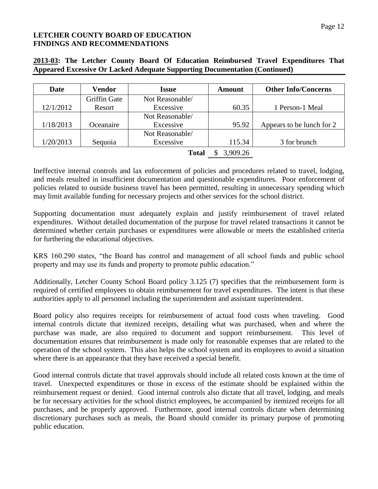| <b>Date</b> | Vendor       | <b>Issue</b>    | Amount   | <b>Other Info/Concerns</b> |
|-------------|--------------|-----------------|----------|----------------------------|
|             | Griffin Gate | Not Reasonable/ |          |                            |
| 12/1/2012   | Resort       | Excessive       | 60.35    | 1 Person-1 Meal            |
|             |              | Not Reasonable/ |          |                            |
| 1/18/2013   | Oceanaire    | Excessive       | 95.92    | Appears to be lunch for 2  |
|             |              | Not Reasonable/ |          |                            |
| 1/20/2013   | Sequoia      | Excessive       | 115.34   | 3 for brunch               |
|             |              | <b>Total</b>    | 3,909.26 |                            |

### **2013-03: The Letcher County Board Of Education Reimbursed Travel Expenditures That Appeared Excessive Or Lacked Adequate Supporting Documentation (Continued)**

Ineffective internal controls and lax enforcement of policies and procedures related to travel, lodging, and meals resulted in insufficient documentation and questionable expenditures. Poor enforcement of policies related to outside business travel has been permitted, resulting in unnecessary spending which may limit available funding for necessary projects and other services for the school district.

Supporting documentation must adequately explain and justify reimbursement of travel related expenditures. Without detailed documentation of the purpose for travel related transactions it cannot be determined whether certain purchases or expenditures were allowable or meets the established criteria for furthering the educational objectives.

KRS 160.290 states, "the Board has control and management of all school funds and public school property and may use its funds and property to promote public education."

Additionally, Letcher County School Board policy 3.125 (7) specifies that the reimbursement form is required of certified employees to obtain reimbursement for travel expenditures. The intent is that these authorities apply to all personnel including the superintendent and assistant superintendent.

Board policy also requires receipts for reimbursement of actual food costs when traveling. Good internal controls dictate that itemized receipts, detailing what was purchased, when and where the purchase was made, are also required to document and support reimbursement. This level of documentation ensures that reimbursement is made only for reasonable expenses that are related to the operation of the school system. This also helps the school system and its employees to avoid a situation where there is an appearance that they have received a special benefit.

Good internal controls dictate that travel approvals should include all related costs known at the time of travel. Unexpected expenditures or those in excess of the estimate should be explained within the reimbursement request or denied. Good internal controls also dictate that all travel, lodging, and meals be for necessary activities for the school district employees, be accompanied by itemized receipts for all purchases, and be properly approved. Furthermore, good internal controls dictate when determining discretionary purchases such as meals, the Board should consider its primary purpose of promoting public education.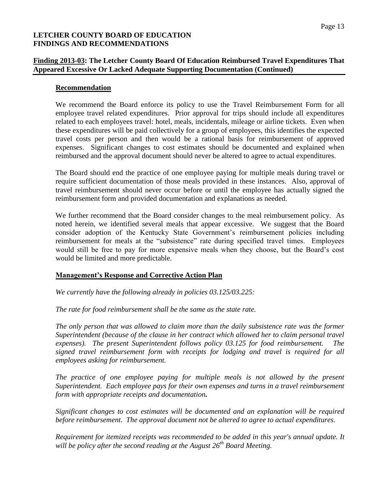# **Finding 2013-03: The Letcher County Board Of Education Reimbursed Travel Expenditures That Appeared Excessive Or Lacked Adequate Supporting Documentation (Continued)**

### **Recommendation**

We recommend the Board enforce its policy to use the Travel Reimbursement Form for all employee travel related expenditures. Prior approval for trips should include all expenditures related to each employees travel: hotel, meals, incidentals, mileage or airline tickets. Even when these expenditures will be paid collectively for a group of employees, this identifies the expected travel costs per person and then would be a rational basis for reimbursement of approved expenses. Significant changes to cost estimates should be documented and explained when reimbursed and the approval document should never be altered to agree to actual expenditures.

The Board should end the practice of one employee paying for multiple meals during travel or require sufficient documentation of those meals provided in these instances. Also, approval of travel reimbursement should never occur before or until the employee has actually signed the reimbursement form and provided documentation and explanations as needed.

We further recommend that the Board consider changes to the meal reimbursement policy. As noted herein, we identified several meals that appear excessive. We suggest that the Board consider adoption of the Kentucky State Government's reimbursement policies including reimbursement for meals at the "subsistence" rate during specified travel times. Employees would still be free to pay for more expensive meals when they choose, but the Board's cost would be limited and more predictable.

# **Management's Response and Corrective Action Plan**

*We currently have the following already in policies 03.125/03.225:*

*The rate for food reimbursement shall be the same as the state rate.*

*The only person that was allowed to claim more than the daily subsistence rate was the former Superintendent (because of the clause in her contract which allowed her to claim personal travel expenses). The present Superintendent follows policy 03.125 for food reimbursement. The signed travel reimbursement form with receipts for lodging and travel is required for all employees asking for reimbursement.*

The practice of one employee paying for multiple meals is not allowed by the present *Superintendent. Each employee pays for their own expenses and turns in a travel reimbursement form with appropriate receipts and documentation.*

*Significant changes to cost estimates will be documented and an explanation will be required before reimbursement. The approval document not be altered to agree to actual expenditures.*

*Requirement for itemized receipts was recommended to be added in this year's annual update. It will be policy after the second reading at the August 26th Board Meeting.*